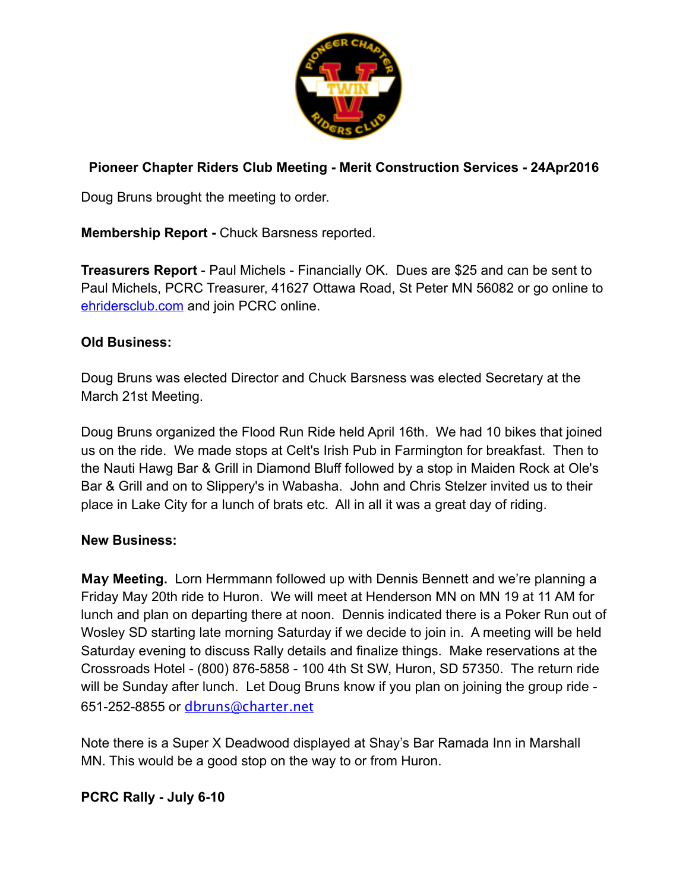

## **Pioneer Chapter Riders Club Meeting - Merit Construction Services - 24Apr2016**

Doug Bruns brought the meeting to order.

**Membership Report -** Chuck Barsness reported.

**Treasurers Report** - Paul Michels - Financially OK. Dues are \$25 and can be sent to Paul Michels, PCRC Treasurer, 41627 Ottawa Road, St Peter MN 56082 or go online to [ehridersclub.com](http://ehridersclub.com) and join PCRC online.

## **Old Business:**

Doug Bruns was elected Director and Chuck Barsness was elected Secretary at the March 21st Meeting.

Doug Bruns organized the Flood Run Ride held April 16th. We had 10 bikes that joined us on the ride. We made stops at Celt's Irish Pub in Farmington for breakfast. Then to the Nauti Hawg Bar & Grill in Diamond Bluff followed by a stop in Maiden Rock at Ole's Bar & Grill and on to Slippery's in Wabasha. John and Chris Stelzer invited us to their place in Lake City for a lunch of brats etc. All in all it was a great day of riding.

## **New Business:**

**May Meeting.** Lorn Hermmann followed up with Dennis Bennett and we're planning a Friday May 20th ride to Huron. We will meet at Henderson MN on MN 19 at 11 AM for lunch and plan on departing there at noon. Dennis indicated there is a Poker Run out of Wosley SD starting late morning Saturday if we decide to join in. A meeting will be held Saturday evening to discuss Rally details and finalize things. Make reservations at the Crossroads Hotel - (800) 876-5858 - 100 4th St SW, Huron, SD 57350. The return ride will be Sunday after lunch. Let Doug Bruns know if you plan on joining the group ride - 651-252-8855 or [dbruns@charter.net](mailto:dbruns@charter.net)

Note there is a Super X Deadwood displayed at Shay's Bar Ramada Inn in Marshall MN. This would be a good stop on the way to or from Huron.

**PCRC Rally - July 6-10**